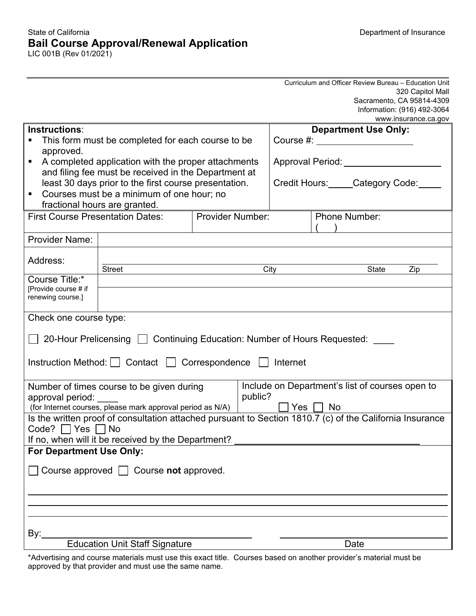#### State of California Department of Insurance **Bail Course Approval/Renewal Application** LIC 001B (Rev 01/2021)

|                                                                                                               |                                                            |  |                             | Curriculum and Officer Review Bureau - Education Unit |                      |  |
|---------------------------------------------------------------------------------------------------------------|------------------------------------------------------------|--|-----------------------------|-------------------------------------------------------|----------------------|--|
|                                                                                                               |                                                            |  |                             | Sacramento, CA 95814-4309                             | 320 Capitol Mall     |  |
|                                                                                                               |                                                            |  |                             | Information: (916) 492-3064                           |                      |  |
|                                                                                                               |                                                            |  |                             |                                                       | www.insurance.ca.gov |  |
| Instructions:                                                                                                 |                                                            |  | <b>Department Use Only:</b> |                                                       |                      |  |
| This form must be completed for each course to be                                                             |                                                            |  |                             | Course #: _______________________                     |                      |  |
| approved.                                                                                                     |                                                            |  |                             |                                                       |                      |  |
| A completed application with the proper attachments<br>п                                                      |                                                            |  |                             | Approval Period: Network and Approval Period:         |                      |  |
| and filing fee must be received in the Department at<br>least 30 days prior to the first course presentation. |                                                            |  |                             | Credit Hours: Category Code:                          |                      |  |
| Courses must be a minimum of one hour; no<br>$\blacksquare$                                                   |                                                            |  |                             |                                                       |                      |  |
| fractional hours are granted.                                                                                 |                                                            |  |                             |                                                       |                      |  |
| <b>First Course Presentation Dates:</b><br><b>Provider Number:</b>                                            |                                                            |  |                             | <b>Phone Number:</b>                                  |                      |  |
|                                                                                                               |                                                            |  |                             |                                                       |                      |  |
| <b>Provider Name:</b>                                                                                         |                                                            |  |                             |                                                       |                      |  |
|                                                                                                               |                                                            |  |                             |                                                       |                      |  |
| Address:                                                                                                      | <b>Street</b>                                              |  | City                        | State                                                 | Zip                  |  |
| Course Title:*                                                                                                |                                                            |  |                             |                                                       |                      |  |
| [Provide course # if                                                                                          |                                                            |  |                             |                                                       |                      |  |
| renewing course.]                                                                                             |                                                            |  |                             |                                                       |                      |  |
| Check one course type:                                                                                        |                                                            |  |                             |                                                       |                      |  |
|                                                                                                               |                                                            |  |                             |                                                       |                      |  |
| 20-Hour Prelicensing   Continuing Education: Number of Hours Requested: ____                                  |                                                            |  |                             |                                                       |                      |  |
|                                                                                                               |                                                            |  |                             |                                                       |                      |  |
| Instruction Method:   Contact   Correspondence   Internet                                                     |                                                            |  |                             |                                                       |                      |  |
| Include on Department's list of courses open to<br>Number of times course to be given during                  |                                                            |  |                             |                                                       |                      |  |
| public?<br>approval period:                                                                                   |                                                            |  |                             |                                                       |                      |  |
|                                                                                                               | (for Internet courses, please mark approval period as N/A) |  |                             | $Yes \Box No$                                         |                      |  |
| Is the written proof of consultation attached pursuant to Section 1810.7 (c) of the California Insurance      |                                                            |  |                             |                                                       |                      |  |
| $Code?$ $\Box$ Yes $\Box$ No                                                                                  |                                                            |  |                             |                                                       |                      |  |
| If no, when will it be received by the Department?                                                            |                                                            |  |                             |                                                       |                      |  |
| For Department Use Only:                                                                                      |                                                            |  |                             |                                                       |                      |  |
| Course approved $\Box$ Course not approved.                                                                   |                                                            |  |                             |                                                       |                      |  |
|                                                                                                               |                                                            |  |                             |                                                       |                      |  |
|                                                                                                               |                                                            |  |                             |                                                       |                      |  |
|                                                                                                               |                                                            |  |                             |                                                       |                      |  |
|                                                                                                               |                                                            |  |                             |                                                       |                      |  |
|                                                                                                               |                                                            |  |                             |                                                       |                      |  |
| By:_<br><b>Education Unit Staff Signature</b><br>Date                                                         |                                                            |  |                             |                                                       |                      |  |
|                                                                                                               |                                                            |  |                             |                                                       |                      |  |

\*Advertising and course materials must use this exact title. Courses based on another provider's material must be approved by that provider and must use the same name.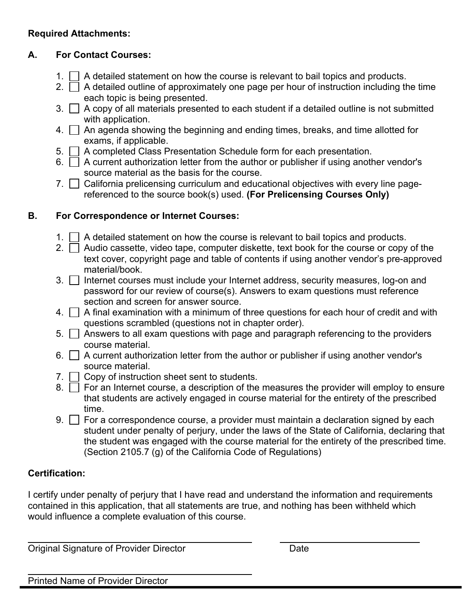### **Required Attachments:**

## **A. For Contact Courses:**

- 1.  $\Box$  A detailed statement on how the course is relevant to bail topics and products.
- 2.  $\Box$  A detailed outline of approximately one page per hour of instruction including the time each topic is being presented.
- $3. \Box$  A copy of all materials presented to each student if a detailed outline is not submitted with application.
- 4.  $\Box$  An agenda showing the beginning and ending times, breaks, and time allotted for exams, if applicable.
- 5. A completed Class Presentation Schedule form for each presentation.
- 6.  $\Box$  A current authorization letter from the author or publisher if using another vendor's source material as the basis for the course.
- 7. California prelicensing curriculum and educational objectives with every line pagereferenced to the source book(s) used. **(For Prelicensing Courses Only)**

# **B. For Correspondence or Internet Courses:**

- 1.  $\Box$  A detailed statement on how the course is relevant to bail topics and products.
- 2.  $\Box$  Audio cassette, video tape, computer diskette, text book for the course or copy of the text cover, copyright page and table of contents if using another vendor's pre-approved material/book.
- $3.$   $\Box$  Internet courses must include your Internet address, security measures, log-on and password for our review of course(s). Answers to exam questions must reference section and screen for answer source.
- 4.  $\Box$  A final examination with a minimum of three questions for each hour of credit and with questions scrambled (questions not in chapter order).
- $5.$   $\Box$  Answers to all exam questions with page and paragraph referencing to the providers course material.
- 6.  $\Box$  A current authorization letter from the author or publisher if using another vendor's source material.
- $7. \Box$  Copy of instruction sheet sent to students.
- 8.  $\Box$  For an Internet course, a description of the measures the provider will employ to ensure that students are actively engaged in course material for the entirety of the prescribed time.
- $9. \Box$  For a correspondence course, a provider must maintain a declaration signed by each student under penalty of perjury, under the laws of the State of California, declaring that the student was engaged with the course material for the entirety of the prescribed time. (Section 2105.7 (g) of the California Code of Regulations)

# **Certification:**

I certify under penalty of perjury that I have read and understand the information and requirements contained in this application, that all statements are true, and nothing has been withheld which would influence a complete evaluation of this course.

 $\overline{a}$ Original Signature of Provider Director **Director** Date

 $\overline{a}$ Printed Name of Provider Director